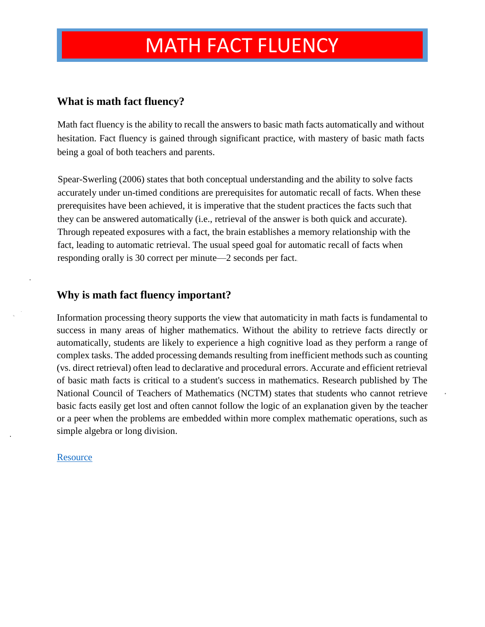### **What is math fact fluency?**

Math fact fluency is the ability to recall the answers to basic math facts automatically and without hesitation. Fact fluency is gained through significant practice, with mastery of basic math facts being a goal of both teachers and parents.

Spear-Swerling (2006) states that both conceptual understanding and the ability to solve facts accurately under un-timed conditions are prerequisites for automatic recall of facts. When these prerequisites have been achieved, it is imperative that the student practices the facts such that they can be answered automatically (i.e., retrieval of the answer is both quick and accurate). Through repeated exposures with a fact, the brain establishes a memory relationship with the fact, leading to automatic retrieval. The usual speed goal for automatic recall of facts when responding orally is 30 correct per minute—2 seconds per fact.

### **Why is math fact fluency important?**

Information processing theory supports the view that automaticity in math facts is fundamental to success in many areas of higher mathematics. Without the ability to retrieve facts directly or automatically, students are likely to experience a high cognitive load as they perform a range of complex tasks. The added processing demands resulting from inefficient methods such as counting (vs. direct retrieval) often lead to declarative and procedural errors. Accurate and efficient retrieval of basic math facts is critical to a student's success in mathematics. Research published by The National Council of Teachers of Mathematics (NCTM) states that students who cannot retrieve basic facts easily get lost and often cannot follow the logic of an explanation given by the teacher or a peer when the problems are embedded within more complex mathematic operations, such as simple algebra or long division.

#### **[Resource](http://www.csdspartans.org/userfiles/servers/server_3653291/file/snyder/math%20fact%20fluency.pdf)**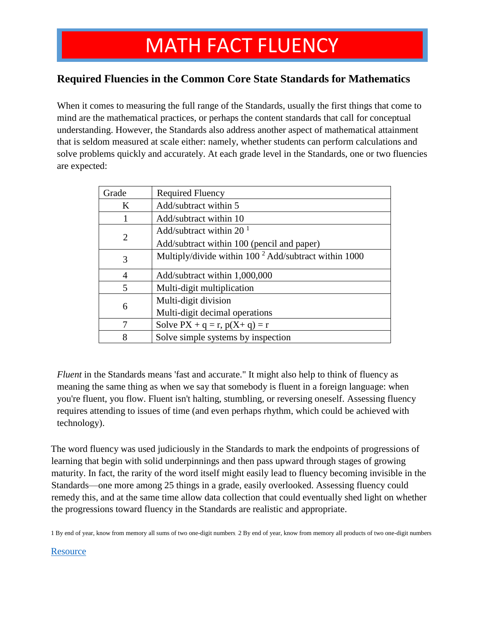### **Required Fluencies in the Common Core State Standards for Mathematics**

When it comes to measuring the full range of the Standards, usually the first things that come to mind are the mathematical practices, or perhaps the content standards that call for conceptual understanding. However, the Standards also address another aspect of mathematical attainment that is seldom measured at scale either: namely, whether students can perform calculations and solve problems quickly and accurately. At each grade level in the Standards, one or two fluencies are expected:

| Grade          | <b>Required Fluency</b>                                 |  |
|----------------|---------------------------------------------------------|--|
| K              | Add/subtract within 5                                   |  |
|                | Add/subtract within 10                                  |  |
| $\overline{2}$ | Add/subtract within 20 $^1$                             |  |
|                | Add/subtract within 100 (pencil and paper)              |  |
| 3              | Multiply/divide within $100^2$ Add/subtract within 1000 |  |
| $\overline{4}$ | Add/subtract within 1,000,000                           |  |
| 5              | Multi-digit multiplication                              |  |
| 6              | Multi-digit division                                    |  |
|                | Multi-digit decimal operations                          |  |
| 7              | Solve $PX + q = r$ , $p(X + q) = r$                     |  |
| 8              | Solve simple systems by inspection                      |  |

*Fluent* in the Standards means 'fast and accurate." It might also help to think of fluency as meaning the same thing as when we say that somebody is fluent in a foreign language: when you're fluent, you flow. Fluent isn't halting, stumbling, or reversing oneself. Assessing fluency requires attending to issues of time (and even perhaps rhythm, which could be achieved with technology).

The word fluency was used judiciously in the Standards to mark the endpoints of progressions of learning that begin with solid underpinnings and then pass upward through stages of growing maturity. In fact, the rarity of the word itself might easily lead to fluency becoming invisible in the Standards—one more among 25 things in a grade, easily overlooked. Assessing fluency could remedy this, and at the same time allow data collection that could eventually shed light on whether the progressions toward fluency in the Standards are realistic and appropriate.

1 By end of year, know from memory all sums of two one-digit numbers 2 By end of year, know from memory all products of two one-digit numbers

#### **[Resource](https://www.engageny.org/sites/default/files/resource/attachments/ccssfluencies.pdf)**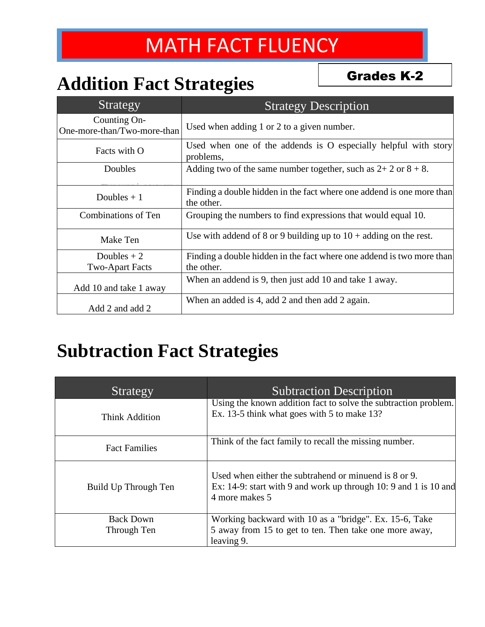## **Addition Fact Strategies**

Grades K-2

| Strategy                                    | <b>Strategy Description</b>                                                         |
|---------------------------------------------|-------------------------------------------------------------------------------------|
| Counting On-<br>One-more-than/Two-more-than | Used when adding 1 or 2 to a given number.                                          |
| Facts with O                                | Used when one of the addends is O especially helpful with story<br>problems,        |
| Doubles                                     | Adding two of the same number together, such as $2+2$ or $8+8$ .                    |
| Doubles $+1$                                | Finding a double hidden in the fact where one addend is one more than<br>the other. |
| Combinations of Ten                         | Grouping the numbers to find expressions that would equal 10.                       |
| Make Ten                                    | Use with addend of 8 or 9 building up to $10 +$ adding on the rest.                 |
| Doubles $+2$<br><b>Two-Apart Facts</b>      | Finding a double hidden in the fact where one addend is two more than<br>the other. |
| Add 10 and take 1 away                      | When an addend is 9, then just add 10 and take 1 away.                              |
| Add 2 and add 2                             | When an added is 4, add 2 and then add 2 again.                                     |

## **Subtraction Fact Strategies**

| Strategy                        | <b>Subtraction Description</b>                                                                                                              |
|---------------------------------|---------------------------------------------------------------------------------------------------------------------------------------------|
| Think Addition                  | Using the known addition fact to solve the subtraction problem.<br>Ex. 13-5 think what goes with 5 to make 13?                              |
| <b>Fact Families</b>            | Think of the fact family to recall the missing number.                                                                                      |
| Build Up Through Ten            | Used when either the subtrahend or minuend is 8 or 9.<br>Ex: 14-9: start with 9 and work up through 10: 9 and 1 is 10 and<br>4 more makes 5 |
| <b>Back Down</b><br>Through Ten | Working backward with 10 as a "bridge". Ex. 15-6, Take<br>5 away from 15 to get to ten. Then take one more away,                            |
|                                 | leaving 9.                                                                                                                                  |